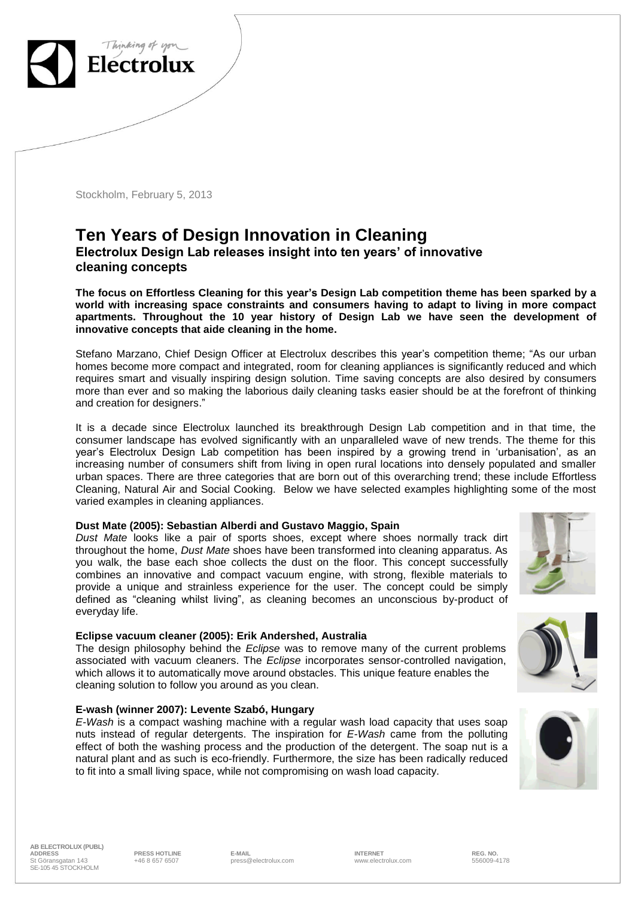

Stockholm, February 5, 2013

# **Ten Years of Design Innovation in Cleaning Electrolux Design Lab releases insight into ten years' of innovative cleaning concepts**

**The focus on Effortless Cleaning for this year's Design Lab competition theme has been sparked by a world with increasing space constraints and consumers having to adapt to living in more compact apartments. Throughout the 10 year history of Design Lab we have seen the development of innovative concepts that aide cleaning in the home.** 

Stefano Marzano, Chief Design Officer at Electrolux describes this year's competition theme; "As our urban homes become more compact and integrated, room for cleaning appliances is significantly reduced and which requires smart and visually inspiring design solution. Time saving concepts are also desired by consumers more than ever and so making the laborious daily cleaning tasks easier should be at the forefront of thinking and creation for designers."

It is a decade since Electrolux launched its breakthrough Design Lab competition and in that time, the consumer landscape has evolved significantly with an unparalleled wave of new trends. The theme for this year's Electrolux Design Lab competition has been inspired by a growing trend in 'urbanisation', as an increasing number of consumers shift from living in open rural locations into densely populated and smaller urban spaces. There are three categories that are born out of this overarching trend; these include Effortless Cleaning, Natural Air and Social Cooking. Below we have selected examples highlighting some of the most varied examples in cleaning appliances.

#### **Dust Mate (2005): Sebastian Alberdi and Gustavo Maggio, Spain**

*Dust Mate* looks like a pair of sports shoes, except where shoes normally track dirt throughout the home, *Dust Mate* shoes have been transformed into cleaning apparatus. As you walk, the base each shoe collects the dust on the floor. This concept successfully combines an innovative and compact vacuum engine, with strong, flexible materials to provide a unique and strainless experience for the user. The concept could be simply defined as "cleaning whilst living", as cleaning becomes an unconscious by-product of everyday life.

#### **Eclipse vacuum cleaner (2005): Erik Andershed, Australia**

The design philosophy behind the *Eclipse* was to remove many of the current problems associated with vacuum cleaners. The *Eclipse* incorporates sensor-controlled navigation, which allows it to automatically move around obstacles. This unique feature enables the cleaning solution to follow you around as you clean.

#### **E-wash (winner 2007): Levente Szabó, Hungary**

*E-Wash* is a compact washing machine with a regular wash load capacity that uses soap nuts instead of regular detergents. The inspiration for *E-Wash* came from the polluting effect of both the washing process and the production of the detergent. The soap nut is a natural plant and as such is eco-friendly. Furthermore, the size has been radically reduced to fit into a small living space, while not compromising on wash load capacity.







**AB ELECTROLUX (PUBL) ADDRESS PRESS HOTLINE E-MAIL INTERNET REG. NO.** St Göransgatan 143 SE-105 45 STOCKHOLM

+46 8 657 6507 press@electrolux.com www.electrolux.com 556009-4178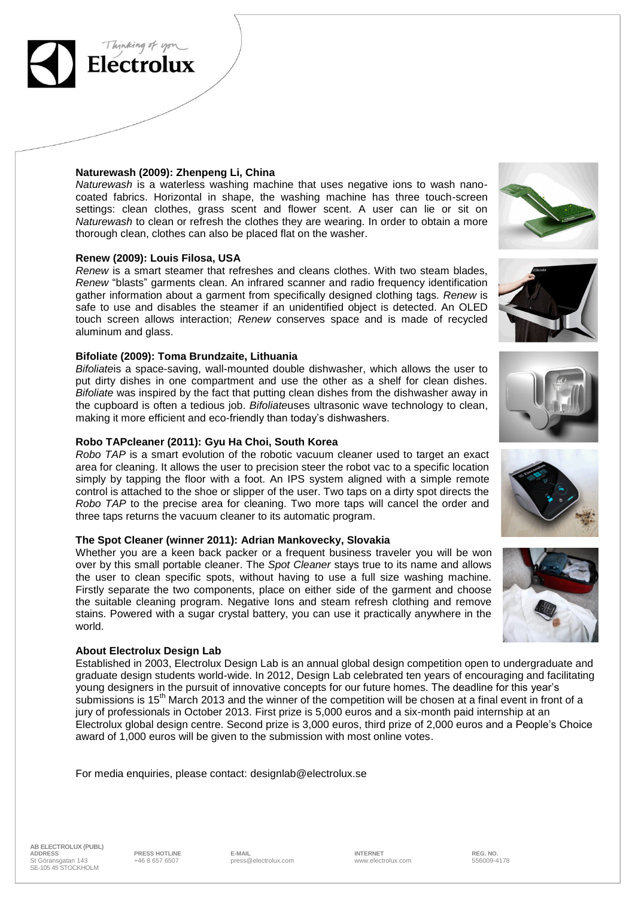

Thinking of you

*Naturewash* is a waterless washing machine that uses negative ions to wash nanocoated fabrics. Horizontal in shape, the washing machine has three touch-screen settings: clean clothes, grass scent and flower scent. A user can lie or sit on *Naturewash* to clean or refresh the clothes they are wearing. In order to obtain a more thorough clean, clothes can also be placed flat on the washer.

### **Renew (2009): Louis Filosa, USA**

*Renew* is a smart steamer that refreshes and cleans clothes. With two steam blades, *Renew* "blasts" garments clean. An infrared scanner and radio frequency identification gather information about a garment from specifically designed clothing tags. *Renew* is safe to use and disables the steamer if an unidentified object is detected. An OLED touch screen allows interaction; *Renew* conserves space and is made of recycled aluminum and glass.

## **Bifoliate (2009): Toma Brundzaite, Lithuania**

*Bifoliate*is a space-saving, wall-mounted double dishwasher, which allows the user to put dirty dishes in one compartment and use the other as a shelf for clean dishes. *Bifoliate* was inspired by the fact that putting clean dishes from the dishwasher away in the cupboard is often a tedious job. *Bifoliate*uses ultrasonic wave technology to clean, making it more efficient and eco-friendly than today's dishwashers.

## **Robo TAPcleaner (2011): Gyu Ha Choi, South Korea**

*Robo TAP* is a smart evolution of the robotic vacuum cleaner used to target an exact area for cleaning. It allows the user to precision steer the robot vac to a specific location simply by tapping the floor with a foot. An IPS system aligned with a simple remote control is attached to the shoe or slipper of the user. Two taps on a dirty spot directs the *Robo TAP* to the precise area for cleaning. Two more taps will cancel the order and three taps returns the vacuum cleaner to its automatic program.

#### **The Spot Cleaner (winner 2011): Adrian Mankovecky, Slovakia**

Whether you are a keen back packer or a frequent business traveler you will be won over by this small portable cleaner. The *Spot Cleaner* stays true to its name and allows the user to clean specific spots, without having to use a full size washing machine. Firstly separate the two components, place on either side of the garment and choose the suitable cleaning program. Negative Ions and steam refresh clothing and remove stains. Powered with a sugar crystal battery, you can use it practically anywhere in the world.

## **About Electrolux Design Lab**

Established in 2003, Electrolux Design Lab is an annual global design competition open to undergraduate and graduate design students world-wide. In 2012, Design Lab celebrated ten years of encouraging and facilitating young designers in the pursuit of innovative concepts for our future homes. The deadline for this year's submissions is 15<sup>th</sup> March 2013 and the winner of the competition will be chosen at a final event in front of a jury of professionals in October 2013. First prize is 5,000 euros and a six-month paid internship at an Electrolux global design centre. Second prize is 3,000 euros, third prize of 2,000 euros and a People's Choice award of 1,000 euros will be given to the submission with most online votes.

For media enquiries, please contact: [designlab@electrolux.se](mailto:designlab@electrolux.se)











**AB ELECTROLUX (PUBL) ADDRESS PRESS HOTLINE E-MAIL INTERNET REG. NO.** St Göransgatan 143 SE-105 45 STOCKHOLM

+46 8 657 6507 press@electrolux.com www.electrolux.com 556009-4178